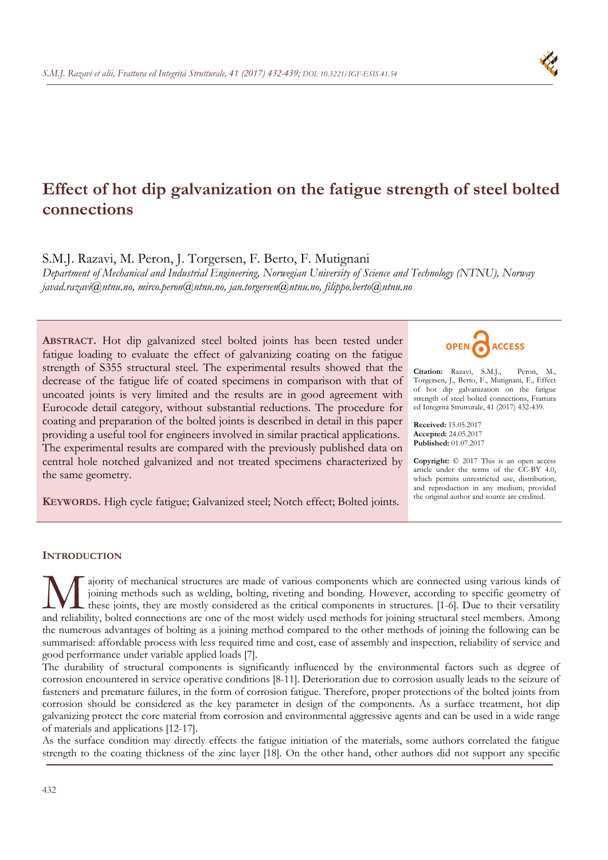# **Effect of hot dip galvanization on the fatigue strength of steel bolted connections**

S.M.J. Razavi, M. Peron, J. Torgersen, F. Berto, F. Mutignani

*Department of Mechanical and Industrial Engineering, Norwegian University of Science and Technology (NTNU), Norway javad.razavi@ntnu.no, mirco.peron@ntnu.no, jan.torgersen@ntnu.no, filippo.berto@ntnu.no* 

**ABSTRACT.** Hot dip galvanized steel bolted joints has been tested under fatigue loading to evaluate the effect of galvanizing coating on the fatigue strength of S355 structural steel. The experimental results showed that the decrease of the fatigue life of coated specimens in comparison with that of uncoated joints is very limited and the results are in good agreement with Eurocode detail category, without substantial reductions. The procedure for coating and preparation of the bolted joints is described in detail in this paper providing a useful tool for engineers involved in similar practical applications. The experimental results are compared with the previously published data on central hole notched galvanized and not treated specimens characterized by the same geometry.

**KEYWORDS.** High cycle fatigue; Galvanized steel; Notch effect; Bolted joints.



**Citation:** Razavi, S.M.J., Peron, M., Torgersen, J., Berto, F., Mutignani, F., Effect of hot dip galvanization on the fatigue strength of steel bolted connections, Frattura ed Integrità Strutturale, 41 (2017) 432-439.

**Received:** 15.05.2017 **Accepted:** 24.05.2017 **Published:** 01.07.2017

**Copyright:** © 2017 This is an open access article under the terms of the CC-BY 4.0, which permits unrestricted use, distribution, and reproduction in any medium, provided the original author and source are credited.

# **INTRODUCTION**

ajority of mechanical structures are made of various components which are connected using various kinds of joining methods such as welding, bolting, riveting and bonding. However, according to specific geometry of these joints, they are mostly considered as the critical components in structures. [1-6]. Due to their versatility ajority of mechanical structures are made of various components which are connected using various kinds of joining methods such as welding, bolting, riveting and bonding. However, according to specific geometry of these jo the numerous advantages of bolting as a joining method compared to the other methods of joining the following can be summarised: affordable process with less required time and cost, ease of assembly and inspection, reliability of service and good performance under variable applied loads [7].

The durability of structural components is significantly influenced by the environmental factors such as degree of corrosion encountered in service operative conditions [8-11]. Deterioration due to corrosion usually leads to the seizure of fasteners and premature failures, in the form of corrosion fatigue. Therefore, proper protections of the bolted joints from corrosion should be considered as the key parameter in design of the components. As a surface treatment, hot dip galvanizing protect the core material from corrosion and environmental aggressive agents and can be used in a wide range of materials and applications [12-17].

As the surface condition may directly effects the fatigue initiation of the materials, some authors correlated the fatigue strength to the coating thickness of the zinc layer [18]. On the other hand, other authors did not support any specific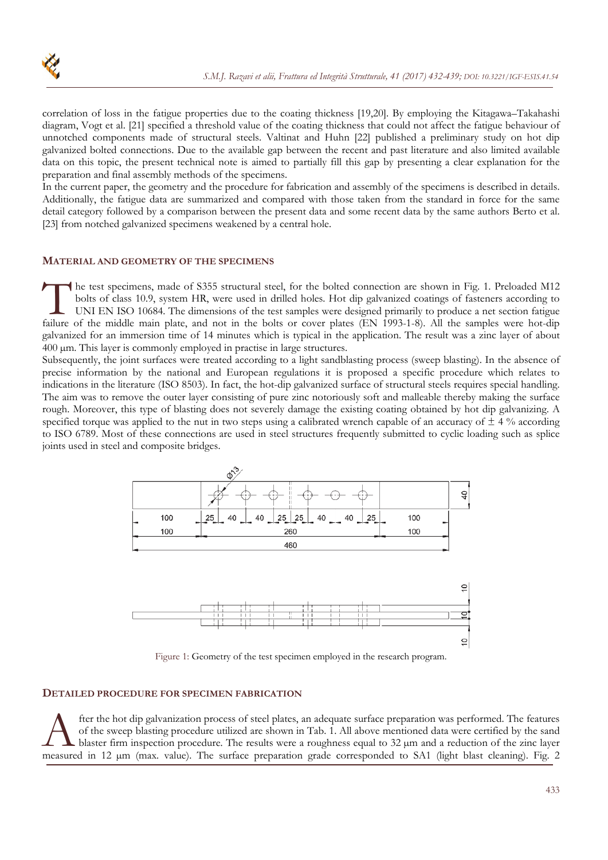correlation of loss in the fatigue properties due to the coating thickness [19,20]. By employing the Kitagawa–Takahashi diagram, Vogt et al. [21] specified a threshold value of the coating thickness that could not affect the fatigue behaviour of unnotched components made of structural steels. Valtinat and Huhn [22] published a preliminary study on hot dip galvanized bolted connections. Due to the available gap between the recent and past literature and also limited available data on this topic, the present technical note is aimed to partially fill this gap by presenting a clear explanation for the preparation and final assembly methods of the specimens.

In the current paper, the geometry and the procedure for fabrication and assembly of the specimens is described in details. Additionally, the fatigue data are summarized and compared with those taken from the standard in force for the same detail category followed by a comparison between the present data and some recent data by the same authors Berto et al. [23] from notched galvanized specimens weakened by a central hole.

## **MATERIAL AND GEOMETRY OF THE SPECIMENS**

he test specimens, made of S355 structural steel, for the bolted connection are shown in Fig. 1. Preloaded M12 bolts of class 10.9, system HR, were used in drilled holes. Hot dip galvanized coatings of fasteners according to UNI EN ISO 10684. The dimensions of the test samples were designed primarily to produce a net section fatigue Failure of the middle main plate, and not in the bolts or cover plates (EN 1993-1-8). All the samples were hot-dip failure of the middle main plate, and not in the bolts or cover plates (EN 1993-1-8). All the samples were galvanized for an immersion time of 14 minutes which is typical in the application. The result was a zinc layer of about 400 µm. This layer is commonly employed in practise in large structures.

Subsequently, the joint surfaces were treated according to a light sandblasting process (sweep blasting). In the absence of precise information by the national and European regulations it is proposed a specific procedure which relates to indications in the literature (ISO 8503). In fact, the hot-dip galvanized surface of structural steels requires special handling. The aim was to remove the outer layer consisting of pure zinc notoriously soft and malleable thereby making the surface rough. Moreover, this type of blasting does not severely damage the existing coating obtained by hot dip galvanizing. A specified torque was applied to the nut in two steps using a calibrated wrench capable of an accuracy of  $\pm$  4 % according to ISO 6789. Most of these connections are used in steel structures frequently submitted to cyclic loading such as splice joints used in steel and composite bridges.



Figure 1: Geometry of the test specimen employed in the research program.

# **DETAILED PROCEDURE FOR SPECIMEN FABRICATION**

fter the hot dip galvanization process of steel plates, an adequate surface preparation was performed. The features of the sweep blasting procedure utilized are shown in Tab. 1. All above mentioned data were certified by the sand blaster firm inspection procedure. The results were a roughness equal to  $32 \mu m$  and a reduction of the zinc layer ter the hot dip galvanization process of steel plates, an adequate surface preparation was performed. The features of the sweep blasting procedure utilized are shown in Tab. 1. All above mentioned data were certified by t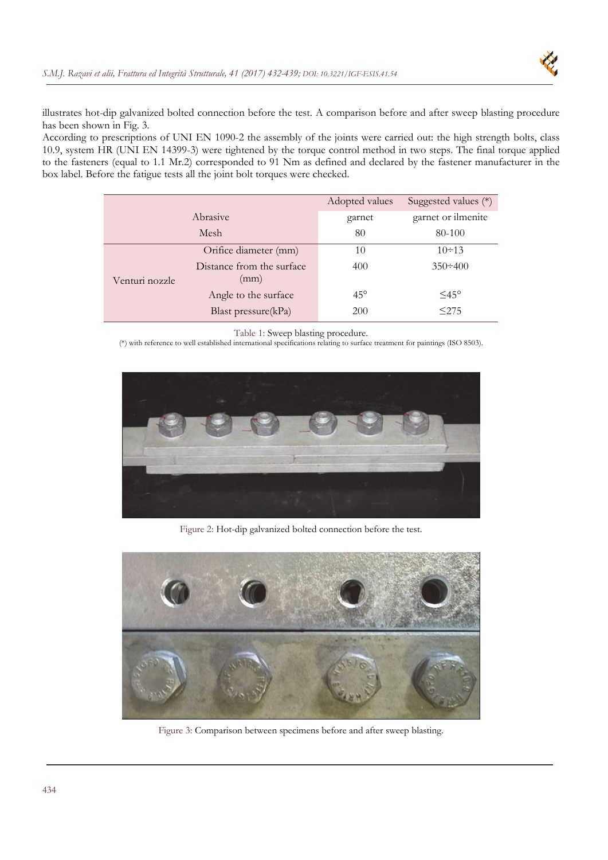

illustrates hot-dip galvanized bolted connection before the test. A comparison before and after sweep blasting procedure has been shown in Fig. 3.

According to prescriptions of UNI EN 1090-2 the assembly of the joints were carried out: the high strength bolts, class 10.9, system HR (UNI EN 14399-3) were tightened by the torque control method in two steps. The final torque applied to the fasteners (equal to 1.1 Mr.2) corresponded to 91 Nm as defined and declared by the fastener manufacturer in the box label. Before the fatigue tests all the joint bolt torques were checked.

|                |                                   | Adopted values | Suggested values (*) |
|----------------|-----------------------------------|----------------|----------------------|
| Abrasive       |                                   | garnet         | garnet or ilmenite   |
| Mesh           |                                   | 80             | 80-100               |
| Venturi nozzle | Orifice diameter (mm)             | 10             | $10 \div 13$         |
|                | Distance from the surface<br>(mm) | 400            | $350 \div 400$       |
|                | Angle to the surface              | $45^{\circ}$   | $\leq$ 45°           |
|                | Blast pressure $(kPa)$            | <b>200</b>     | < 275                |

Table 1: Sweep blasting procedure.

(\*) with reference to well established international specifications relating to surface treatment for paintings (ISO 8503).



Figure 2: Hot-dip galvanized bolted connection before the test.



Figure 3: Comparison between specimens before and after sweep blasting.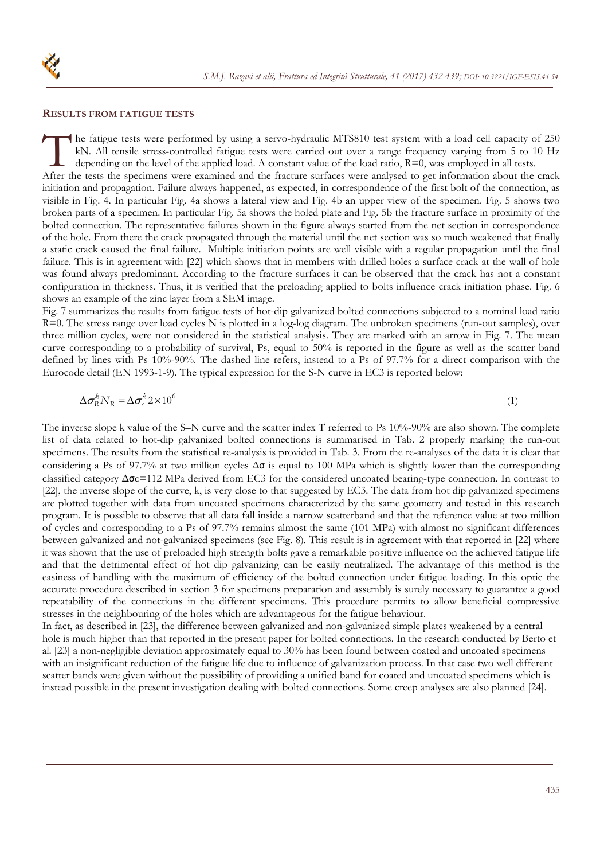

#### **RESULTS FROM FATIGUE TESTS**

he fatigue tests were performed by using a servo-hydraulic MTS810 test system with a load cell capacity of 250 kN. All tensile stress-controlled fatigue tests were carried out over a range frequency varying from 5 to 10 Hz depending on the level of the applied load. A constant value of the load ratio,  $R=0$ , was employed in all tests. The fatigue tests were performed by using a servo-hydraulic MTS810 test system with a load cell capacity of 250 kN. All tensile stress-controlled fatigue tests were carried out over a range frequency varying from 5 to 10 H initiation and propagation. Failure always happened, as expected, in correspondence of the first bolt of the connection, as visible in Fig. 4. In particular Fig. 4a shows a lateral view and Fig. 4b an upper view of the specimen. Fig. 5 shows two broken parts of a specimen. In particular Fig. 5a shows the holed plate and Fig. 5b the fracture surface in proximity of the bolted connection. The representative failures shown in the figure always started from the net section in correspondence of the hole. From there the crack propagated through the material until the net section was so much weakened that finally a static crack caused the final failure. Multiple initiation points are well visible with a regular propagation until the final failure. This is in agreement with [22] which shows that in members with drilled holes a surface crack at the wall of hole was found always predominant. According to the fracture surfaces it can be observed that the crack has not a constant configuration in thickness. Thus, it is verified that the preloading applied to bolts influence crack initiation phase. Fig. 6

shows an example of the zinc layer from a SEM image. Fig. 7 summarizes the results from fatigue tests of hot-dip galvanized bolted connections subjected to a nominal load ratio  $R=0$ . The stress range over load cycles N is plotted in a log-log diagram. The unbroken specimens (run-out samples), over three million cycles, were not considered in the statistical analysis. They are marked with an arrow in Fig. 7. The mean curve corresponding to a probability of survival, Ps, equal to 50% is reported in the figure as well as the scatter band defined by lines with Ps 10%-90%. The dashed line refers, instead to a Ps of 97.7% for a direct comparison with the Eurocode detail (EN 1993-1-9). The typical expression for the S-N curve in EC3 is reported below:

$$
\Delta \sigma_R^k N_R = \Delta \sigma_c^k 2 \times 10^6 \tag{1}
$$

The inverse slope k value of the S–N curve and the scatter index T referred to Ps 10%-90% are also shown. The complete list of data related to hot-dip galvanized bolted connections is summarised in Tab. 2 properly marking the run-out specimens. The results from the statistical re-analysis is provided in Tab. 3. From the re-analyses of the data it is clear that considering a Ps of 97.7% at two million cycles  $\Delta\sigma$  is equal to 100 MPa which is slightly lower than the corresponding classified category Δσc=112 MPa derived from EC3 for the considered uncoated bearing-type connection. In contrast to [22], the inverse slope of the curve, k, is very close to that suggested by EC3. The data from hot dip galvanized specimens are plotted together with data from uncoated specimens characterized by the same geometry and tested in this research program. It is possible to observe that all data fall inside a narrow scatterband and that the reference value at two million of cycles and corresponding to a Ps of 97.7% remains almost the same (101 MPa) with almost no significant differences between galvanized and not-galvanized specimens (see Fig. 8). This result is in agreement with that reported in [22] where it was shown that the use of preloaded high strength bolts gave a remarkable positive influence on the achieved fatigue life and that the detrimental effect of hot dip galvanizing can be easily neutralized. The advantage of this method is the easiness of handling with the maximum of efficiency of the bolted connection under fatigue loading. In this optic the accurate procedure described in section 3 for specimens preparation and assembly is surely necessary to guarantee a good repeatability of the connections in the different specimens. This procedure permits to allow beneficial compressive stresses in the neighbouring of the holes which are advantageous for the fatigue behaviour.

In fact, as described in [23], the difference between galvanized and non-galvanized simple plates weakened by a central hole is much higher than that reported in the present paper for bolted connections. In the research conducted by Berto et al. [23] a non-negligible deviation approximately equal to 30% has been found between coated and uncoated specimens with an insignificant reduction of the fatigue life due to influence of galvanization process. In that case two well different scatter bands were given without the possibility of providing a unified band for coated and uncoated specimens which is instead possible in the present investigation dealing with bolted connections. Some creep analyses are also planned [24].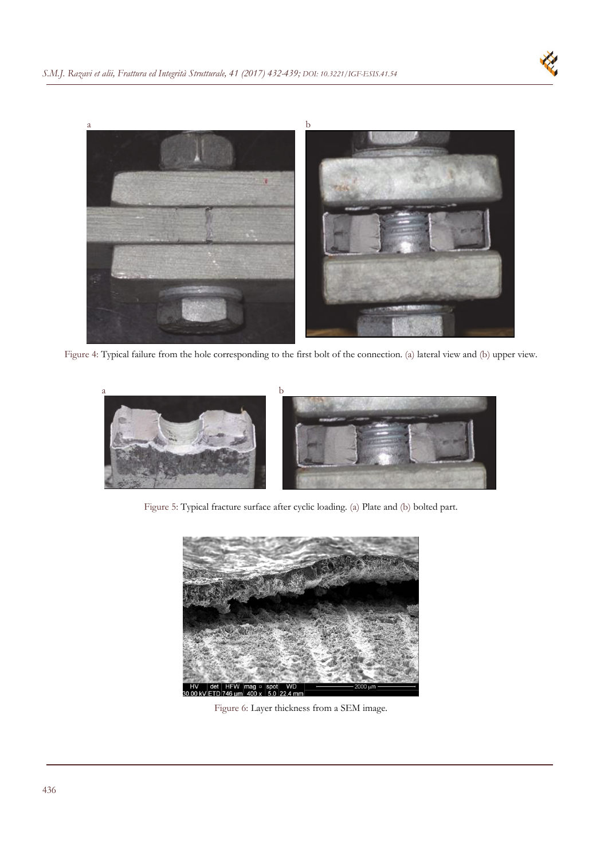

Figure 4: Typical failure from the hole corresponding to the first bolt of the connection. (a) lateral view and (b) upper view.



Figure 5: Typical fracture surface after cyclic loading. (a) Plate and (b) bolted part.



Figure 6: Layer thickness from a SEM image.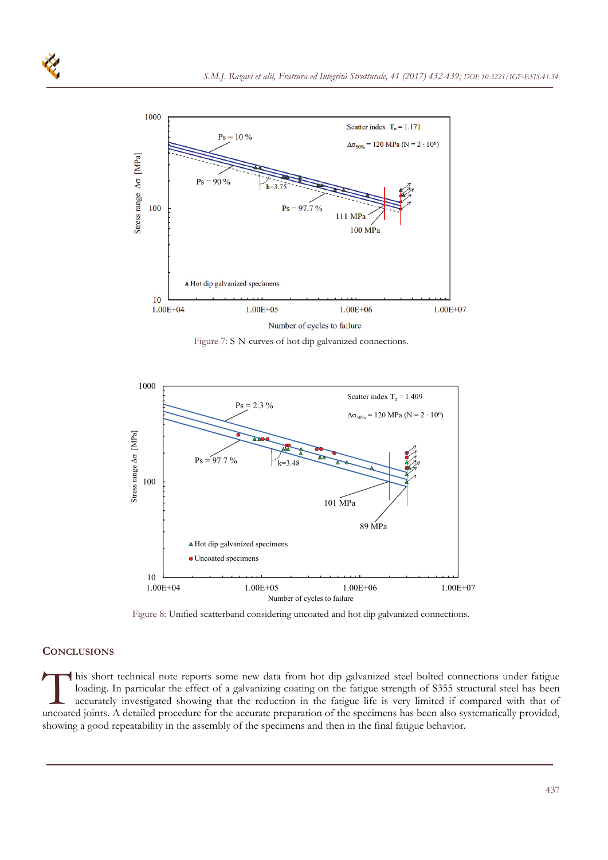

Figure 7: S-N-curves of hot dip galvanized connections.



Figure 8: Unified scatterband considering uncoated and hot dip galvanized connections.

#### **CONCLUSIONS**

his short technical note reports some new data from hot dip galvanized steel bolted connections under fatigue loading. In particular the effect of a galvanizing coating on the fatigue strength of S355 structural steel has been accurately investigated showing that the reduction in the fatigue life is very limited if compared with that of I his short technical note reports some new data from hot dip galvanized steel bolted connections under fatigue loading. In particular the effect of a galvanizing coating on the fatigue strength of S355 structural steel ha showing a good repeatability in the assembly of the specimens and then in the final fatigue behavior.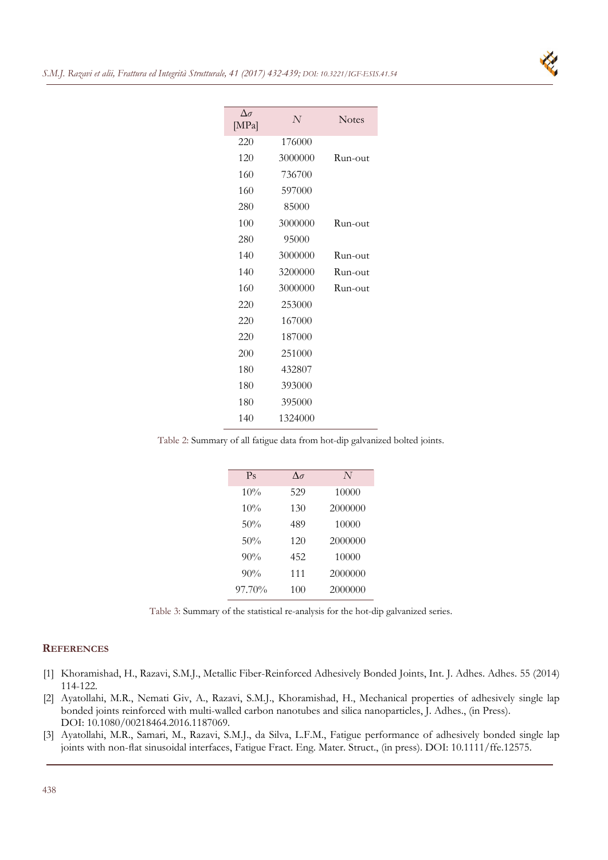

| $\Delta \sigma$<br>[MPa] | N       | <b>Notes</b> |
|--------------------------|---------|--------------|
| 220                      | 176000  |              |
| 120                      | 3000000 | Run-out      |
| 160                      | 736700  |              |
| 160                      | 597000  |              |
| 280                      | 85000   |              |
| 100                      | 3000000 | Run-out      |
| 280                      | 95000   |              |
| 140                      | 3000000 | Run-out      |
| 140                      | 3200000 | Run-out      |
| 160                      | 3000000 | Run-out      |
| 220                      | 253000  |              |
| 220                      | 167000  |              |
| 220                      | 187000  |              |
| 200                      | 251000  |              |
| 180                      | 432807  |              |
| 180                      | 393000  |              |
| 180                      | 395000  |              |
| 140                      | 1324000 |              |
|                          |         |              |

Table 2: Summary of all fatigue data from hot-dip galvanized bolted joints.

| $P_{S}$ | $\Lambda$ $\sigma$ | N       |
|---------|--------------------|---------|
| 10%     | 529                | 10000   |
| 10%     | 130                | 2000000 |
| 50%     | 489                | 10000   |
| 50%     | 120                | 2000000 |
| 90%     | 452                | 10000   |
| 90%     | 111                | 2000000 |
| 97.70%  | 100                | 2000000 |

Table 3: Summary of the statistical re-analysis for the hot-dip galvanized series.

### **REFERENCES**

- [1] Khoramishad, H., Razavi, S.M.J., Metallic Fiber-Reinforced Adhesively Bonded Joints, Int. J. Adhes. Adhes. 55 (2014) 114-122.
- [2] Ayatollahi, M.R., Nemati Giv, A., Razavi, S.M.J., Khoramishad, H., Mechanical properties of adhesively single lap bonded joints reinforced with multi-walled carbon nanotubes and silica nanoparticles, J. Adhes., (in Press). DOI: 10.1080/00218464.2016.1187069.
- [3] Ayatollahi, M.R., Samari, M., Razavi, S.M.J., da Silva, L.F.M., Fatigue performance of adhesively bonded single lap joints with non-flat sinusoidal interfaces, Fatigue Fract. Eng. Mater. Struct., (in press). DOI: 10.1111/ffe.12575.